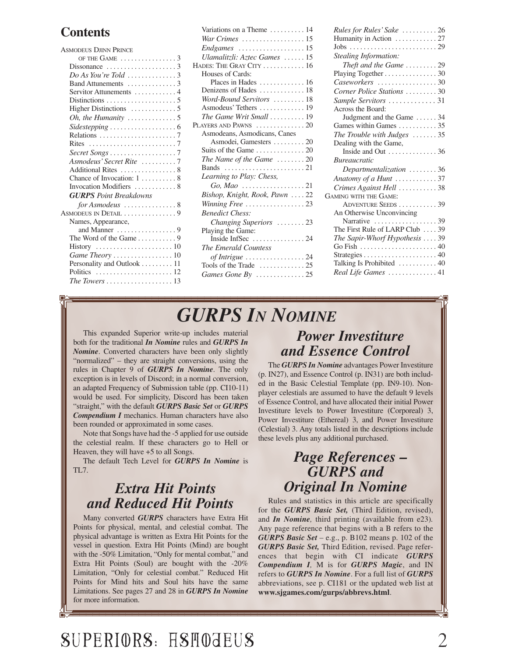#### **Contents**

| <b>ASMODEUS DJINN PRINCE</b>                              |  |
|-----------------------------------------------------------|--|
| OF THE GAME $\ldots \ldots \ldots \ldots$                 |  |
| Dissonance $\ldots \ldots \ldots \ldots \ldots$           |  |
| $Do$ As You're Told $\ldots \ldots \ldots \ldots 3$       |  |
| Band Attunements 3                                        |  |
| Servitor Attunements  4                                   |  |
|                                                           |  |
|                                                           |  |
| Oh, the Humanity $\dots\dots\dots\dots\dots$              |  |
|                                                           |  |
|                                                           |  |
|                                                           |  |
|                                                           |  |
| Asmodeus' Secret Rite 7                                   |  |
| Additional Rites  8                                       |  |
| Chance of Invocation: 1  8                                |  |
| Invocation Modifiers  8                                   |  |
| <b>GURPS</b> Point Breakdowns                             |  |
|                                                           |  |
| ASMODEUS IN DETAIL 9                                      |  |
| Names, Appearance,                                        |  |
| and Manner $\dots\dots\dots\dots\dots9$                   |  |
| The Word of the Game 9                                    |  |
|                                                           |  |
| Game Theory  10                                           |  |
| Personality and Outlook 11                                |  |
|                                                           |  |
| The Towers $\ldots \ldots \ldots \ldots \ldots \ldots 13$ |  |
|                                                           |  |

| Variations on a Theme  14                           |
|-----------------------------------------------------|
| War Crimes 15                                       |
|                                                     |
| Ulamalitzli: Aztec Games  15                        |
| HADES: THE GRAY CITY  16                            |
| Houses of Cards:                                    |
| Places in Hades $\dots \dots \dots \dots 16$        |
| Denizens of Hades  18                               |
| Word-Bound Servitors  18                            |
| Asmodeus' Tethers  19                               |
| The Game Writ Small  19                             |
| PLAYERS AND PAWNS $\ldots \ldots \ldots \ldots 20$  |
| Asmodeans, Asmodicans, Canes                        |
| Asmodei, Gamesters  20                              |
|                                                     |
| The Name of the Game $\dots \dots 20$               |
|                                                     |
| Learning to Play: Chess,                            |
| $Go, Mao \dots \dots \dots \dots \dots 21$          |
| Bishop, Knight, Rook, Pawn  22                      |
| Winning Free 23                                     |
| <b>Benedict Chess:</b>                              |
| Changing Superiors 23                               |
| Playing the Game:                                   |
|                                                     |
| The Emerald Countess                                |
| of Intrigue $\ldots \ldots \ldots \ldots \ldots 24$ |
| Tools of the Trade $\dots\dots\dots\dots 25$        |
| Games Gone By 25                                    |
|                                                     |

| Rules for Rules' Sake  26                                |  |
|----------------------------------------------------------|--|
| Humanity in Action  27                                   |  |
|                                                          |  |
| Stealing Information:                                    |  |
| Theft and the Game $\dots \dots \dots 29$                |  |
| Playing Together 30                                      |  |
|                                                          |  |
| Corner Police Stations 30                                |  |
| Sample Servitors 31                                      |  |
| Across the Board:                                        |  |
| Judgment and the Game  34                                |  |
| Games within Games  35                                   |  |
| The Trouble with Judges $\ldots \ldots 35$               |  |
| Dealing with the Game,                                   |  |
| Inside and Out $\dots \dots \dots \dots 36$              |  |
| <i>Bureaucratic</i>                                      |  |
| Departmentalization $\ldots \ldots \ldots 36$            |  |
| Anatomy of a Hunt 37                                     |  |
| Crimes Against Hell 38                                   |  |
| <b>GAMING WITH THE GAME:</b>                             |  |
| ADVENTURE SEEDS 39                                       |  |
| An Otherwise Unconvincing                                |  |
| Narrative 39                                             |  |
| The First Rule of LARP Club  39                          |  |
| The Sapir-Whorf Hypothesis  39                           |  |
| Go Fish $\ldots \ldots \ldots \ldots \ldots \ldots$ . 40 |  |
|                                                          |  |
| Talking Is Prohibited  40                                |  |
| Real Life Games  41                                      |  |
|                                                          |  |

## *GURPS IN NOMINE*

This expanded Superior write-up includes material both for the traditional *In Nomine* rules and *GURPS In Nomine*. Converted characters have been only slightly "normalized" – they are straight conversions, using the rules in Chapter 9 of *GURPS In Nomine*. The only exception is in levels of Discord; in a normal conversion, an adapted Frequency of Submission table (pp. CI10-11) would be used. For simplicity, Discord has been taken "straight," with the default *GURPS Basic Set* or *GURPS Compendium I* mechanics. Human characters have also been rounded or approximated in some cases.

Note that Songs have had the -5 applied for use outside the celestial realm. If these characters go to Hell or Heaven, they will have +5 to all Songs.

The default Tech Level for *GURPS In Nomine* is TL7.

### *Extra Hit Points and Reduced Hit Points*

Many converted *GURPS* characters have Extra Hit Points for physical, mental, and celestial combat. The physical advantage is written as Extra Hit Points for the vessel in question. Extra Hit Points (Mind) are bought with the -50% Limitation, "Only for mental combat," and Extra Hit Points (Soul) are bought with the -20% Limitation, "Only for celestial combat." Reduced Hit Points for Mind hits and Soul hits have the same Limitations. See pages 27 and 28 in *GURPS In Nomine* for more information.

### *Power Investiture and Essence Control*

The *GURPS In Nomine* advantages Power Investiture (p. IN27), and Essence Control (p. IN31) are both included in the Basic Celestial Template (pp. IN9-10). Nonplayer celestials are assumed to have the default 9 levels of Essence Control, and have allocated their initial Power Investiture levels to Power Investiture (Corporeal) 3, Power Investiture (Ethereal) 3, and Power Investiture (Celestial) 3. Any totals listed in the descriptions include these levels plus any additional purchased.

### *Page References – GURPS and Original In Nomine*

Rules and statistics in this article are specifically for the *GURPS Basic Set,* (Third Edition, revised), and *In Nomine,* third printing (available from e23)*.* Any page reference that begins with a B refers to the *GURPS Basic Set* – e.g., p. B102 means p. 102 of the *GURPS Basic Set,* Third Edition, revised. Page references that begin with CI indicate *GURPS Compendium I,* M is for *GURPS Magic*, and IN refers to *GURPS In Nomine*. For a full list of *GURPS* abbreviations, see p. CI181 or the updated web list at **www.sjgames.com/gurps/abbrevs.html**.

# SUPERIORS: HSHOJEUS